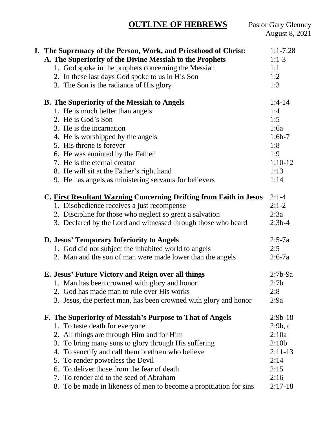# **OUTLINE OF HEBREWS**

| I. The Supremacy of the Person, Work, and Priesthood of Christ:    | $1:1 - 7:28$      |
|--------------------------------------------------------------------|-------------------|
| A. The Superiority of the Divine Messiah to the Prophets           | $1:1-3$           |
| 1. God spoke in the prophets concerning the Messiah                | 1:1               |
| 2. In these last days God spoke to us in His Son                   | 1:2               |
| 3. The Son is the radiance of His glory                            | 1:3               |
| <b>B.</b> The Superiority of the Messiah to Angels                 | $1:4-14$          |
| 1. He is much better than angels                                   | 1:4               |
| 2. He is God's Son                                                 | 1:5               |
| 3. He is the incarnation                                           | 1:6a              |
| 4. He is worshipped by the angels                                  | $1:6b-7$          |
| 5. His throne is forever                                           | 1:8               |
| 6. He was anointed by the Father                                   | 1:9               |
| 7. He is the eternal creator                                       | $1:10-12$         |
| 8. He will sit at the Father's right hand                          | 1:13              |
| 9. He has angels as ministering servants for believers             | 1:14              |
| C. First Resultant Warning Concerning Drifting from Faith in Jesus | $2:1-4$           |
| 1. Disobedience receives a just recompense                         | $2:1-2$           |
| 2. Discipline for those who neglect so great a salvation           | 2:3a              |
| 3. Declared by the Lord and witnessed through those who heard      | $2:3b-4$          |
| D. Jesus' Temporary Inferiority to Angels                          | $2:5-7a$          |
| 1. God did not subject the inhabited world to angels               | 2:5               |
| 2. Man and the son of man were made lower than the angels          | $2:6-7a$          |
| E. Jesus' Future Victory and Reign over all things                 | $2:7b-9a$         |
| 1. Man has been crowned with glory and honor                       | 2:7b              |
| 2. God has made man to rule over His works                         | 2:8               |
| 3. Jesus, the perfect man, has been crowned with glory and honor   | 2:9a              |
| F. The Superiority of Messiah's Purpose to That of Angels          | $2:9b-18$         |
| 1. To taste death for everyone                                     | 2:9b, c           |
| 2. All things are through Him and for Him                          | 2:10a             |
| 3. To bring many sons to glory through His suffering               | 2:10 <sub>b</sub> |
| 4. To sanctify and call them brethren who believe                  | $2:11-13$         |
| 5. To render powerless the Devil                                   | 2:14              |
| To deliver those from the fear of death<br>6.                      | 2:15              |
| 7. To render aid to the seed of Abraham                            | 2:16              |
| 8. To be made in likeness of men to become a propitiation for sins | $2:17-18$         |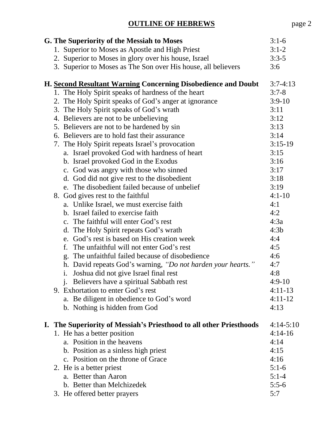| G. The Superiority of the Messiah to Moses                          | $3:1-6$     |
|---------------------------------------------------------------------|-------------|
| 1. Superior to Moses as Apostle and High Priest                     | $3:1-2$     |
| 2. Superior to Moses in glory over his house, Israel                | $3:3-5$     |
| 3. Superior to Moses as The Son over His house, all believers       | 3:6         |
| H. Second Resultant Warning Concerning Disobedience and Doubt       | $3:7-4:13$  |
| 1. The Holy Spirit speaks of hardness of the heart                  | $3:7-8$     |
| 2. The Holy Spirit speaks of God's anger at ignorance               | $3:9-10$    |
| 3. The Holy Spirit speaks of God's wrath                            | 3:11        |
| 4. Believers are not to be unbelieving                              | 3:12        |
| 5. Believers are not to be hardened by sin                          | 3:13        |
| 6. Believers are to hold fast their assurance                       | 3:14        |
| 7. The Holy Spirit repeats Israel's provocation                     | $3:15-19$   |
| a. Israel provoked God with hardness of heart                       | 3:15        |
| b. Israel provoked God in the Exodus                                | 3:16        |
| c. God was angry with those who sinned                              | 3:17        |
| d. God did not give rest to the disobedient                         | 3:18        |
| e. The disobedient failed because of unbelief                       | 3:19        |
| 8. God gives rest to the faithful                                   | $4:1 - 10$  |
| a. Unlike Israel, we must exercise faith                            | 4:1         |
| b. Israel failed to exercise faith                                  | 4:2         |
| c. The faithful will enter God's rest                               | 4:3a        |
| d. The Holy Spirit repeats God's wrath                              | 4:3b        |
| e. God's rest is based on His creation week                         | 4:4         |
| f.<br>The unfaithful will not enter God's rest                      | 4:5         |
| The unfaithful failed because of disobedience<br>g.                 | 4:6         |
| h. David repeats God's warning, "Do not harden your hearts."        | 4:7         |
| Joshua did not give Israel final rest<br>$\mathbf{i}$ .             | 4:8         |
| j. Believers have a spiritual Sabbath rest                          | $4:9-10$    |
| 9. Exhortation to enter God's rest                                  | $4:11-13$   |
| a. Be diligent in obedience to God's word                           | $4:11-12$   |
| b. Nothing is hidden from God                                       | 4:13        |
| I. The Superiority of Messiah's Priesthood to all other Priesthoods | $4:14-5:10$ |
| 1. He has a better position                                         | $4:14-16$   |
| a. Position in the heavens                                          | 4:14        |
| b. Position as a sinless high priest                                | 4:15        |
| c. Position on the throne of Grace                                  | 4:16        |
| 2. He is a better priest                                            | $5:1-6$     |
| a. Better than Aaron                                                | $5:1-4$     |
| b. Better than Melchizedek                                          | $5:5-6$     |
| 3. He offered better prayers                                        | 5:7         |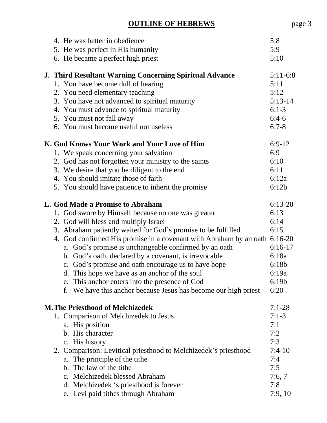|  | 4. He was better in obedience                                              | 5:8        |
|--|----------------------------------------------------------------------------|------------|
|  | 5. He was perfect in His humanity                                          | 5:9        |
|  | 6. He became a perfect high priest                                         | 5:10       |
|  | J. Third Resultant Warning Concerning Spiritual Advance                    | $5:11-6:8$ |
|  | 1. You have become dull of hearing                                         | 5:11       |
|  | 2. You need elementary teaching                                            | 5:12       |
|  | 3. You have not advanced to spiritual maturity                             | $5:13-14$  |
|  | 4. You must advance to spiritual maturity                                  | $6:1-3$    |
|  | 5. You must not fall away                                                  | $6:4-6$    |
|  | 6. You must become useful not useless                                      | $6:7-8$    |
|  | K. God Knows Your Work and Your Love of Him                                | $6:9-12$   |
|  | 1. We speak concerning your salvation                                      | 6:9        |
|  | 2. God has not forgotten your ministry to the saints                       | 6:10       |
|  | 3. We desire that you be diligent to the end                               | 6:11       |
|  | 4. You should imitate those of faith                                       | 6:12a      |
|  | 5. You should have patience to inherit the promise                         | 6:12b      |
|  | L. God Made a Promise to Abraham                                           | $6:13-20$  |
|  | 1. God swore by Himself because no one was greater                         | 6:13       |
|  | 2. God will bless and multiply Israel                                      | 6:14       |
|  | 3. Abraham patiently waited for God's promise to be fulfilled              | 6:15       |
|  | 4. God confirmed His promise in a covenant with Abraham by an oath 6:16-20 |            |
|  | a. God's promise is unchangeable confirmed by an oath                      | $6:16-17$  |
|  | b. God's oath, declared by a covenant, is irrevocable                      | 6:18a      |
|  | c. God's promise and oath encourage us to have hope                        | 6:18b      |
|  | d. This hope we have as an anchor of the soul                              | 6:19a      |
|  | e. This anchor enters into the presence of God                             | 6:19b      |
|  | We have this anchor because Jesus has become our high priest               | 6:20       |
|  | <b>M. The Priesthood of Melchizedek</b>                                    | $7:1-28$   |
|  | 1. Comparison of Melchizedek to Jesus                                      | $7:1-3$    |
|  | a. His position                                                            | 7:1        |
|  | b. His character                                                           | 7:2        |
|  | c. His history                                                             | 7:3        |
|  | 2. Comparison: Levitical priesthood to Melchizedek's priesthood            | $7:4-10$   |
|  | a. The principle of the tithe                                              | 7:4        |
|  | b. The law of the tithe                                                    | 7:5        |
|  | c. Melchizedek blessed Abraham                                             | 7:6,7      |
|  | d. Melchizedek 's priesthood is forever                                    | 7:8        |
|  | e. Levi paid tithes through Abraham                                        | 7:9,10     |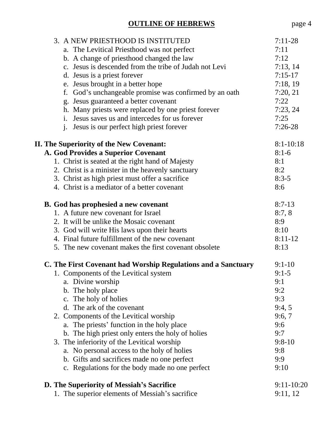| <b>OUTLINE OF HEBREWS</b>                                      | page 4        |
|----------------------------------------------------------------|---------------|
| 3. A NEW PRIESTHOOD IS INSTITUTED                              | $7:11-28$     |
| a. The Levitical Priesthood was not perfect                    | 7:11          |
| b. A change of priesthood changed the law                      | 7:12          |
| c. Jesus is descended from the tribe of Judah not Levi         | 7:13,14       |
| d. Jesus is a priest forever                                   | $7:15-17$     |
| e. Jesus brought in a better hope                              | 7:18,19       |
| God's unchangeable promise was confirmed by an oath<br>f.      | 7:20, 21      |
| g. Jesus guaranteed a better covenant                          | 7:22          |
| h. Many priests were replaced by one priest forever            | 7:23,24       |
| Jesus saves us and intercedes for us forever<br>$\mathbf{i}$ . | 7:25          |
| Jesus is our perfect high priest forever<br>j.                 | $7:26-28$     |
| <b>II. The Superiority of the New Covenant:</b>                | $8:1 - 10:18$ |
| A. God Provides a Superior Covenant                            | $8:1-6$       |
| 1. Christ is seated at the right hand of Majesty               | 8:1           |
| 2. Christ is a minister in the heavenly sanctuary              | 8:2           |
| 3. Christ as high priest must offer a sacrifice                | $8:3-5$       |
| 4. Christ is a mediator of a better covenant                   | 8:6           |
| <b>B.</b> God has prophesied a new covenant                    | $8:7-13$      |

| D. Ovu has prophesicu a new covenant                          |           |  |
|---------------------------------------------------------------|-----------|--|
| 1. A future new covenant for Israel                           | 8:7,8     |  |
| 2. It will be unlike the Mosaic covenant                      | 8:9       |  |
| 3. God will write His laws upon their hearts                  | 8:10      |  |
| 4. Final future fulfillment of the new covenant               | $8:11-12$ |  |
| 5. The new covenant makes the first covenant obsolete         | 8:13      |  |
| C. The First Covenant had Worship Regulations and a Sanctuary | $9:1-10$  |  |
| 1. Components of the Levitical system                         | $9:1-5$   |  |
| a. Divine worship                                             | 9:1       |  |

#### b. The holy place 9:2 c. The holy of holies 9:3 d. The ark of the covenant  $9:4, 5$ 2. Components of the Levitical worship 9:6, 7 a. The priests' function in the holy place 9:6 b. The high priest only enters the holy of holies 9:7 3. The inferiority of the Levitical worship 9:8-10 a. No personal access to the holy of holies 9:8 b. Gifts and sacrifices made no one perfect 9:9 c. Regulations for the body made no one perfect 9:10 **D.** The Superiority of Messiah's Sacrifice 9:11-10:20

| 1. The superior elements of Messiah's sacrifice | 9:11,12 |
|-------------------------------------------------|---------|
|-------------------------------------------------|---------|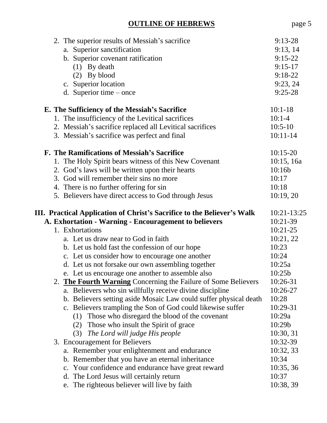| 2. The superior results of Messiah's sacrifice<br>a. Superior sanctification | $9:13-28$<br>9:13,14 |
|------------------------------------------------------------------------------|----------------------|
| b. Superior covenant ratification                                            | $9:15-22$            |
| $(1)$ By death                                                               | $9:15-17$            |
| $(2)$ By blood                                                               | $9:18-22$            |
| c. Superior location                                                         | 9:23,24              |
| d. Superior time $-$ once                                                    | $9:25-28$            |
|                                                                              |                      |
| E. The Sufficiency of the Messiah's Sacrifice                                | $10:1-18$            |
| 1. The insufficiency of the Levitical sacrifices                             | $10:1 - 4$           |
| 2. Messiah's sacrifice replaced all Levitical sacrifices                     | $10:5-10$            |
| 3. Messiah's sacrifice was perfect and final                                 | $10:11-14$           |
| F. The Ramifications of Messiah's Sacrifice                                  | $10:15-20$           |
| 1. The Holy Spirit bears witness of this New Covenant                        | 10:15, 16a           |
| 2. God's laws will be written upon their hearts                              | 10:16b               |
| 3. God will remember their sins no more                                      | 10:17                |
| 4. There is no further offering for sin                                      | 10:18                |
| 5. Believers have direct access to God through Jesus                         | 10:19,20             |
|                                                                              |                      |
| III. Practical Application of Christ's Sacrifice to the Believer's Walk      | 10:21-13:25          |
| A. Exhortation - Warning - Encouragement to believers                        | 10:21-39             |
| 1. Exhortations                                                              | $10:21-25$           |
| a. Let us draw near to God in faith                                          | 10:21,22             |
| b. Let us hold fast the confession of our hope                               | 10:23                |
| c. Let us consider how to encourage one another                              | 10:24                |
| d. Let us not forsake our own assembling together                            | 10:25a               |
| e. Let us encourage one another to assemble also                             | 10:25b               |
| 2. The Fourth Warning Concerning the Failure of Some Believers               | 10:26-31             |
| a. Believers who sin willfully receive divine discipline                     | 10:26-27             |
| b. Believers setting aside Mosaic Law could suffer physical death            | 10:28                |
| c. Believers trampling the Son of God could likewise suffer                  | 10:29-31             |
| Those who disregard the blood of the covenant<br>(1)                         | 10:29a               |
| Those who insult the Spirit of grace<br>(2)                                  | 10:29b               |
| The Lord will judge His people<br>(3)                                        | 10:30, 31            |
| 3. Encouragement for Believers                                               | 10:32-39             |
| a. Remember your enlightenment and endurance                                 | 10:32, 33            |
| b. Remember that you have an eternal inheritance                             | 10:34                |
| c. Your confidence and endurance have great reward                           | 10:35,36             |
| The Lord Jesus will certainly return<br>$\mathbf{d}$ .                       | 10:37                |
| e. The righteous believer will live by faith                                 | 10:38, 39            |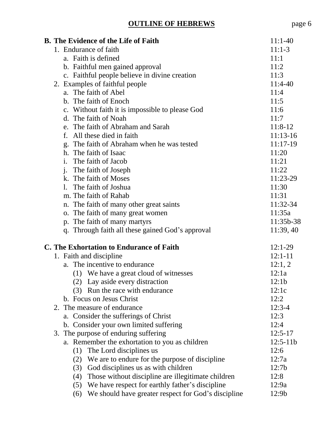|  |                                      | <b>B.</b> The Evidence of the Life of Faith                | $11:1-40$   |
|--|--------------------------------------|------------------------------------------------------------|-------------|
|  |                                      | 1. Endurance of faith                                      | $11:1-3$    |
|  |                                      | a. Faith is defined                                        | 11:1        |
|  |                                      | b. Faithful men gained approval                            | 11:2        |
|  |                                      | c. Faithful people believe in divine creation              | 11:3        |
|  |                                      | 2. Examples of faithful people                             | $11:4-40$   |
|  |                                      | a. The faith of Abel                                       | 11:4        |
|  |                                      | b. The faith of Enoch                                      | 11:5        |
|  |                                      | c. Without faith it is impossible to please God            | 11:6        |
|  |                                      | d. The faith of Noah                                       | 11:7        |
|  |                                      | e. The faith of Abraham and Sarah                          | $11:8-12$   |
|  |                                      | f. All these died in faith                                 | $11:13-16$  |
|  |                                      | g. The faith of Abraham when he was tested                 | $11:17-19$  |
|  |                                      | h. The faith of Isaac                                      | 11:20       |
|  |                                      | i. The faith of Jacob                                      | 11:21       |
|  |                                      | j. The faith of Joseph                                     | 11:22       |
|  |                                      | k. The faith of Moses                                      | 11:23-29    |
|  |                                      | 1. The faith of Joshua                                     | 11:30       |
|  |                                      | m. The faith of Rahab                                      | 11:31       |
|  |                                      | n. The faith of many other great saints                    | 11:32-34    |
|  |                                      | o. The faith of many great women                           | 11:35a      |
|  |                                      | p. The faith of many martyrs                               | 11:35b-38   |
|  |                                      | q. Through faith all these gained God's approval           | 11:39,40    |
|  |                                      | C. The Exhortation to Endurance of Faith                   | $12:1-29$   |
|  |                                      | 1. Faith and discipline                                    | $12:1 - 11$ |
|  |                                      | a. The incentive to endurance                              | 12:1, 2     |
|  |                                      | (1) We have a great cloud of witnesses                     | 12:1a       |
|  |                                      | (2) Lay aside every distraction                            | 12:1b       |
|  |                                      | Run the race with endurance<br>(3)                         | 12:1c       |
|  |                                      | b. Focus on Jesus Christ                                   | 12:2        |
|  |                                      | 2. The measure of endurance                                | $12:3-4$    |
|  |                                      | a. Consider the sufferings of Christ                       | 12:3        |
|  |                                      | b. Consider your own limited suffering                     | 12:4        |
|  | 3. The purpose of enduring suffering |                                                            | $12:5-17$   |
|  |                                      | a. Remember the exhortation to you as children             | $12:5-11b$  |
|  |                                      | The Lord disciplines us<br>(1)                             | 12:6        |
|  |                                      | We are to endure for the purpose of discipline<br>(2)      | 12:7a       |
|  |                                      | God disciplines us as with children<br>(3)                 | 12:7b       |
|  |                                      | Those without discipline are illegitimate children<br>(4)  | 12:8        |
|  |                                      | We have respect for earthly father's discipline<br>(5)     | 12:9a       |
|  |                                      | We should have greater respect for God's discipline<br>(6) | 12:9b       |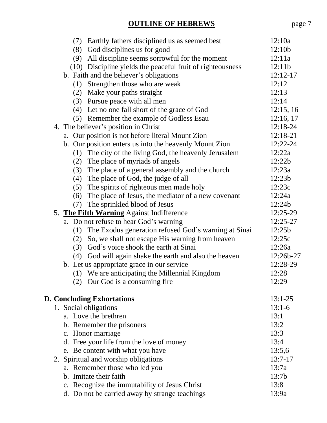| (7) | Earthly fathers disciplined us as seemed best              | 12:10a    |
|-----|------------------------------------------------------------|-----------|
| (8) | God disciplines us for good                                | 12:10b    |
| (9) | All discipline seems sorrowful for the moment              | 12:11a    |
|     | (10) Discipline yields the peaceful fruit of righteousness | 12:11b    |
|     | b. Faith and the believer's obligations                    | 12:12-17  |
|     | (1) Strengthen those who are weak                          | 12:12     |
| (2) | Make your paths straight                                   | 12:13     |
| (3) | Pursue peace with all men                                  | 12:14     |
| (4) | Let no one fall short of the grace of God                  | 12:15, 16 |
|     | (5) Remember the example of Godless Esau                   | 12:16, 17 |
|     | 4. The believer's position in Christ                       | 12:18-24  |
|     | a. Our position is not before literal Mount Zion           | 12:18-21  |
|     | b. Our position enters us into the heavenly Mount Zion     | 12:22-24  |
| (1) | The city of the living God, the heavenly Jerusalem         | 12:22a    |
| (2) | The place of myriads of angels                             | 12:22b    |
|     | (3) The place of a general assembly and the church         | 12:23a    |
| (4) | The place of God, the judge of all                         | 12:23b    |
| (5) | The spirits of righteous men made holy                     | 12:23c    |
| (6) | The place of Jesus, the mediator of a new covenant         | 12:24a    |
| (7) | The sprinkled blood of Jesus                               | 12:24b    |
|     | 5. The Fifth Warning Against Indifference                  | 12:25-29  |
|     | a. Do not refuse to hear God's warning                     | 12:25-27  |
| (1) | The Exodus generation refused God's warning at Sinai       | 12:25b    |
| (2) | So, we shall not escape His warning from heaven            | 12:25c    |
| (3) | God's voice shook the earth at Sinai                       | 12:26a    |
| (4) | God will again shake the earth and also the heaven         | 12:26b-27 |
|     | b. Let us appropriate grace in our service                 | 12:28-29  |
|     | (1) We are anticipating the Millennial Kingdom             | 12:28     |
|     | (2) Our God is a consuming fire                            | 12:29     |
|     |                                                            |           |
|     | <b>D. Concluding Exhortations</b>                          | $13:1-25$ |
|     | 1. Social obligations                                      | $13:1-6$  |
|     | a. Love the brethren                                       | 13:1      |
|     | b. Remember the prisoners                                  | 13:2      |
|     | c. Honor marriage                                          | 13:3      |
|     | d. Free your life from the love of money                   | 13:4      |
|     | e. Be content with what you have                           | 13:5,6    |
|     | 2. Spiritual and worship obligations                       | $13:7-17$ |
|     | a. Remember those who led you                              | 13:7a     |
|     | b. Imitate their faith                                     | 13:7b     |
|     | c. Recognize the immutability of Jesus Christ              | 13:8      |
|     | d. Do not be carried away by strange teachings             | 13:9a     |